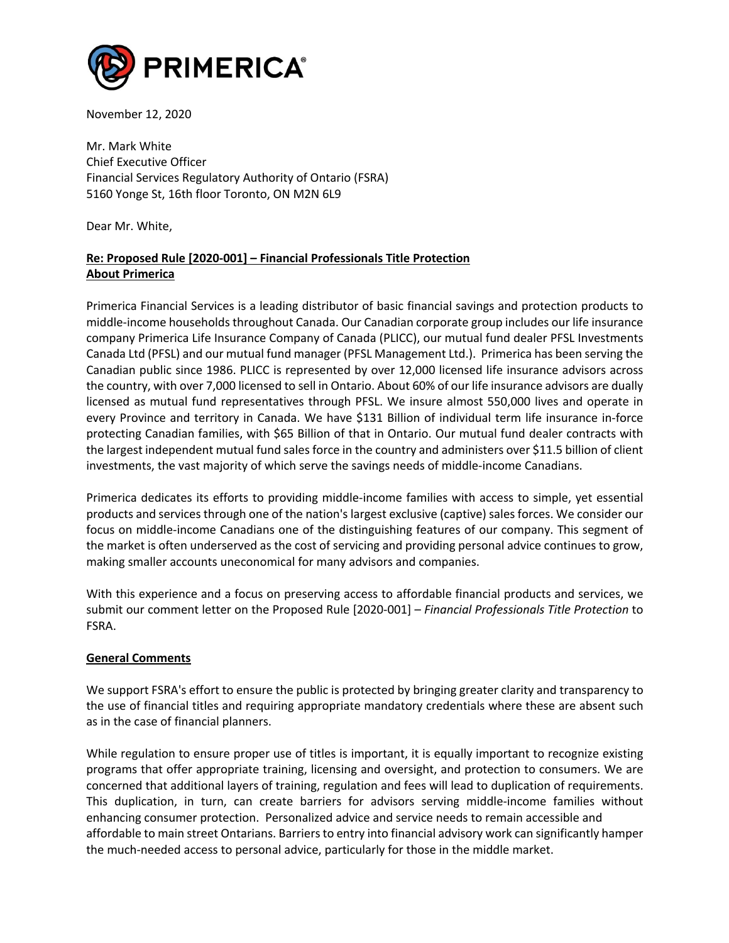

November 12, 2020

Mr. Mark White Chief Executive Officer Financial Services Regulatory Authority of Ontario (FSRA) 5160 Yonge St, 16th floor Toronto, ON M2N 6L9

Dear Mr. White,

# **Re: Proposed Rule [2020-001] – Financial Professionals Title Protection About Primerica**

Primerica Financial Services is a leading distributor of basic financial savings and protection products to middle-income households throughout Canada. Our Canadian corporate group includes our life insurance company Primerica Life Insurance Company of Canada (PLICC), our mutual fund dealer PFSL Investments Canada Ltd (PFSL) and our mutual fund manager (PFSL Management Ltd.). Primerica has been serving the Canadian public since 1986. PLICC is represented by over 12,000 licensed life insurance advisors across the country, with over 7,000 licensed to sell in Ontario. About 60% of our life insurance advisors are dually licensed as mutual fund representatives through PFSL. We insure almost 550,000 lives and operate in every Province and territory in Canada. We have \$131 Billion of individual term life insurance in-force protecting Canadian families, with \$65 Billion of that in Ontario. Our mutual fund dealer contracts with the largest independent mutual fund sales force in the country and administers over \$11.5 billion of client investments, the vast majority of which serve the savings needs of middle-income Canadians.

Primerica dedicates its efforts to providing middle-income families with access to simple, yet essential products and services through one of the nation's largest exclusive (captive) sales forces. We consider our focus on middle-income Canadians one of the distinguishing features of our company. This segment of the market is often underserved as the cost of servicing and providing personal advice continues to grow, making smaller accounts uneconomical for many advisors and companies.

With this experience and a focus on preserving access to affordable financial products and services, we submit our comment letter on the Proposed Rule [2020-001] – *Financial Professionals Title Protection* to FSRA.

# **General Comments**

We support FSRA's effort to ensure the public is protected by bringing greater clarity and transparency to the use of financial titles and requiring appropriate mandatory credentials where these are absent such as in the case of financial planners.

While regulation to ensure proper use of titles is important, it is equally important to recognize existing programs that offer appropriate training, licensing and oversight, and protection to consumers. We are concerned that additional layers of training, regulation and fees will lead to duplication of requirements. This duplication, in turn, can create barriers for advisors serving middle-income families without enhancing consumer protection. Personalized advice and service needs to remain accessible and affordable to main street Ontarians. Barriers to entry into financial advisory work can significantly hamper the much-needed access to personal advice, particularly for those in the middle market.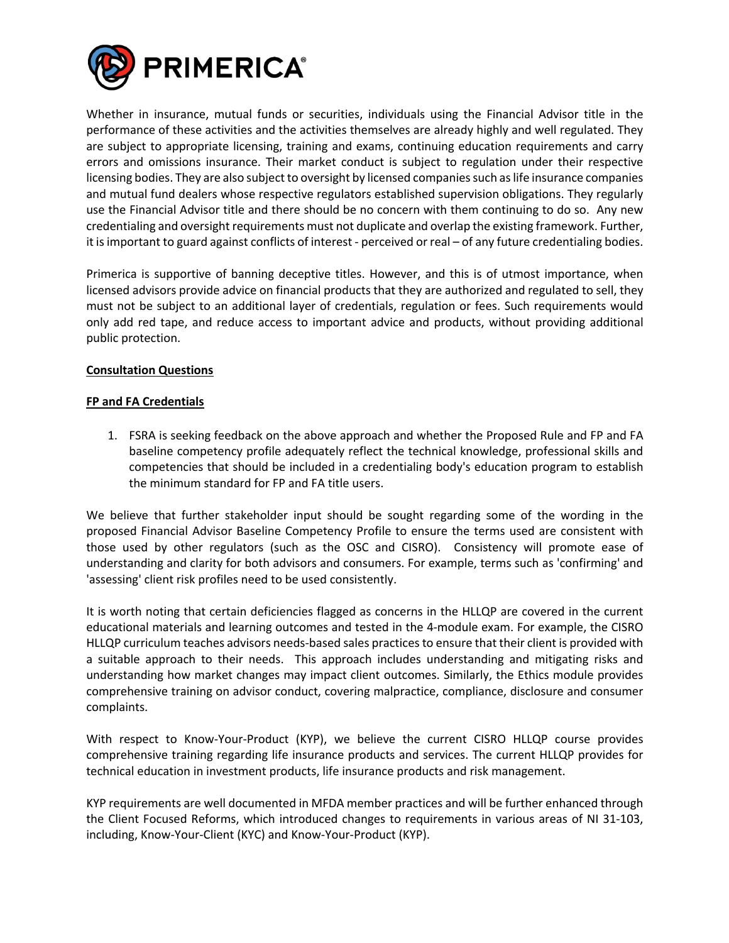

Whether in insurance, mutual funds or securities, individuals using the Financial Advisor title in the performance of these activities and the activities themselves are already highly and well regulated. They are subject to appropriate licensing, training and exams, continuing education requirements and carry errors and omissions insurance. Their market conduct is subject to regulation under their respective licensing bodies. They are also subject to oversight by licensed companies such as life insurance companies and mutual fund dealers whose respective regulators established supervision obligations. They regularly use the Financial Advisor title and there should be no concern with them continuing to do so. Any new credentialing and oversight requirements must not duplicate and overlap the existing framework. Further, it is important to guard against conflicts of interest - perceived or real – of any future credentialing bodies.

Primerica is supportive of banning deceptive titles. However, and this is of utmost importance, when licensed advisors provide advice on financial products that they are authorized and regulated to sell, they must not be subject to an additional layer of credentials, regulation or fees. Such requirements would only add red tape, and reduce access to important advice and products, without providing additional public protection.

# **Consultation Questions**

# **FP and FA Credentials**

1. FSRA is seeking feedback on the above approach and whether the Proposed Rule and FP and FA baseline competency profile adequately reflect the technical knowledge, professional skills and competencies that should be included in a credentialing body's education program to establish the minimum standard for FP and FA title users.

We believe that further stakeholder input should be sought regarding some of the wording in the proposed Financial Advisor Baseline Competency Profile to ensure the terms used are consistent with those used by other regulators (such as the OSC and CISRO). Consistency will promote ease of understanding and clarity for both advisors and consumers. For example, terms such as 'confirming' and 'assessing' client risk profiles need to be used consistently.

It is worth noting that certain deficiencies flagged as concerns in the HLLQP are covered in the current educational materials and learning outcomes and tested in the 4-module exam. For example, the CISRO HLLQP curriculum teaches advisors needs-based sales practices to ensure that their client is provided with a suitable approach to their needs. This approach includes understanding and mitigating risks and understanding how market changes may impact client outcomes. Similarly, the Ethics module provides comprehensive training on advisor conduct, covering malpractice, compliance, disclosure and consumer complaints.

With respect to Know-Your-Product (KYP), we believe the current CISRO HLLQP course provides comprehensive training regarding life insurance products and services. The current HLLQP provides for technical education in investment products, life insurance products and risk management.

KYP requirements are well documented in MFDA member practices and will be further enhanced through the Client Focused Reforms, which introduced changes to requirements in various areas of NI 31-103, including, Know-Your-Client (KYC) and Know-Your-Product (KYP).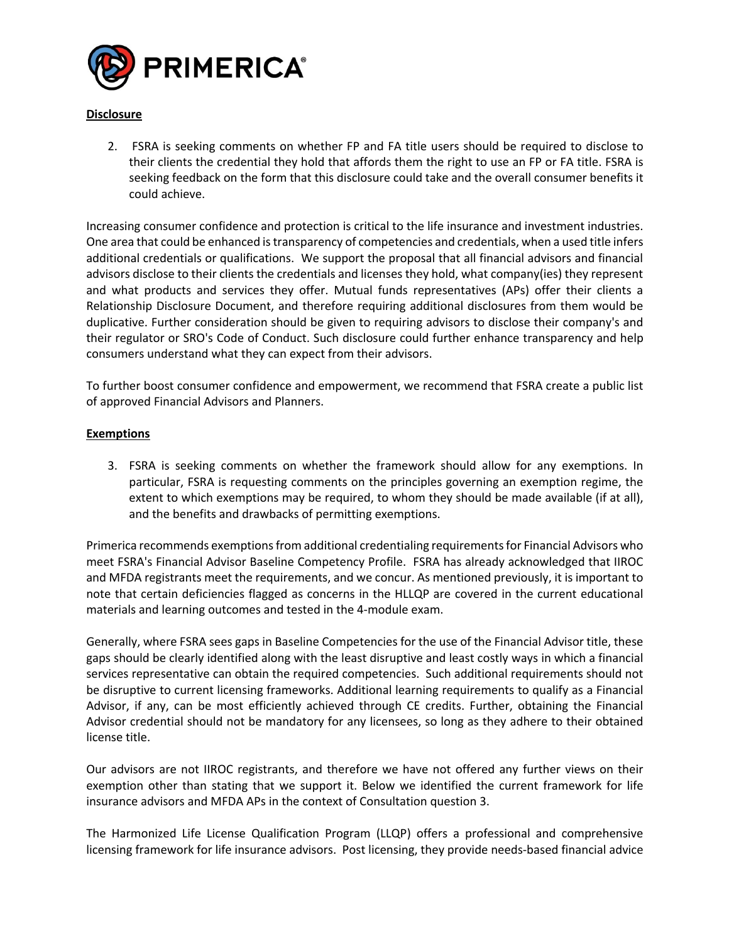

# **Disclosure**

2. FSRA is seeking comments on whether FP and FA title users should be required to disclose to their clients the credential they hold that affords them the right to use an FP or FA title. FSRA is seeking feedback on the form that this disclosure could take and the overall consumer benefits it could achieve.

Increasing consumer confidence and protection is critical to the life insurance and investment industries. One area that could be enhanced is transparency of competencies and credentials, when a used title infers additional credentials or qualifications. We support the proposal that all financial advisors and financial advisors disclose to their clients the credentials and licenses they hold, what company(ies) they represent and what products and services they offer. Mutual funds representatives (APs) offer their clients a Relationship Disclosure Document, and therefore requiring additional disclosures from them would be duplicative. Further consideration should be given to requiring advisors to disclose their company's and their regulator or SRO's Code of Conduct. Such disclosure could further enhance transparency and help consumers understand what they can expect from their advisors.

To further boost consumer confidence and empowerment, we recommend that FSRA create a public list of approved Financial Advisors and Planners.

# **Exemptions**

3. FSRA is seeking comments on whether the framework should allow for any exemptions. In particular, FSRA is requesting comments on the principles governing an exemption regime, the extent to which exemptions may be required, to whom they should be made available (if at all), and the benefits and drawbacks of permitting exemptions.

Primerica recommends exemptionsfrom additional credentialing requirements for Financial Advisors who meet FSRA's Financial Advisor Baseline Competency Profile. FSRA has already acknowledged that IIROC and MFDA registrants meet the requirements, and we concur. As mentioned previously, it is important to note that certain deficiencies flagged as concerns in the HLLQP are covered in the current educational materials and learning outcomes and tested in the 4-module exam.

Generally, where FSRA sees gaps in Baseline Competencies for the use of the Financial Advisor title, these gaps should be clearly identified along with the least disruptive and least costly ways in which a financial services representative can obtain the required competencies. Such additional requirements should not be disruptive to current licensing frameworks. Additional learning requirements to qualify as a Financial Advisor, if any, can be most efficiently achieved through CE credits. Further, obtaining the Financial Advisor credential should not be mandatory for any licensees, so long as they adhere to their obtained license title.

Our advisors are not IIROC registrants, and therefore we have not offered any further views on their exemption other than stating that we support it. Below we identified the current framework for life insurance advisors and MFDA APs in the context of Consultation question 3.

The Harmonized Life License Qualification Program (LLQP) offers a professional and comprehensive licensing framework for life insurance advisors. Post licensing, they provide needs-based financial advice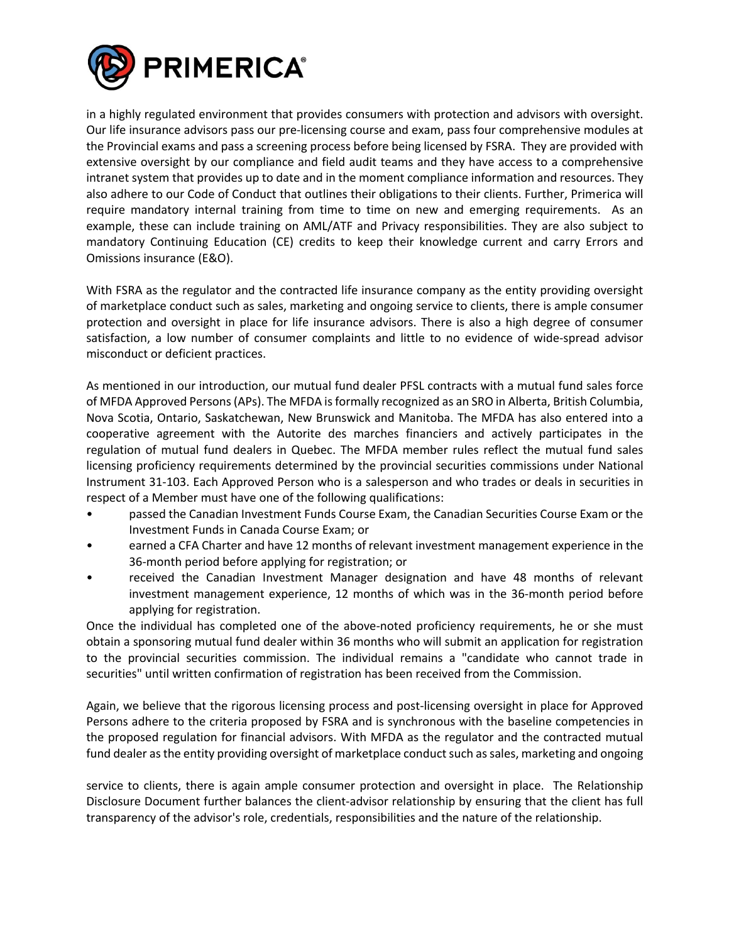

in a highly regulated environment that provides consumers with protection and advisors with oversight. Our life insurance advisors pass our pre-licensing course and exam, pass four comprehensive modules at the Provincial exams and pass a screening process before being licensed by FSRA. They are provided with extensive oversight by our compliance and field audit teams and they have access to a comprehensive intranet system that provides up to date and in the moment compliance information and resources. They also adhere to our Code of Conduct that outlines their obligations to their clients. Further, Primerica will require mandatory internal training from time to time on new and emerging requirements. As an example, these can include training on AML/ATF and Privacy responsibilities. They are also subject to mandatory Continuing Education (CE) credits to keep their knowledge current and carry Errors and Omissions insurance (E&O).

With FSRA as the regulator and the contracted life insurance company as the entity providing oversight of marketplace conduct such as sales, marketing and ongoing service to clients, there is ample consumer protection and oversight in place for life insurance advisors. There is also a high degree of consumer satisfaction, a low number of consumer complaints and little to no evidence of wide-spread advisor misconduct or deficient practices.

As mentioned in our introduction, our mutual fund dealer PFSL contracts with a mutual fund sales force of MFDA Approved Persons (APs). The MFDA is formally recognized as an SRO in Alberta, British Columbia, Nova Scotia, Ontario, Saskatchewan, New Brunswick and Manitoba. The MFDA has also entered into a cooperative agreement with the Autorite des marches financiers and actively participates in the regulation of mutual fund dealers in Quebec. The MFDA member rules reflect the mutual fund sales licensing proficiency requirements determined by the provincial securities commissions under National Instrument 31-103. Each Approved Person who is a salesperson and who trades or deals in securities in respect of a Member must have one of the following qualifications:

- passed the Canadian Investment Funds Course Exam, the Canadian Securities Course Exam or the Investment Funds in Canada Course Exam; or
- earned a CFA Charter and have 12 months of relevant investment management experience in the 36-month period before applying for registration; or
- received the Canadian Investment Manager designation and have 48 months of relevant investment management experience, 12 months of which was in the 36-month period before applying for registration.

Once the individual has completed one of the above-noted proficiency requirements, he or she must obtain a sponsoring mutual fund dealer within 36 months who will submit an application for registration to the provincial securities commission. The individual remains a "candidate who cannot trade in securities" until written confirmation of registration has been received from the Commission.

Again, we believe that the rigorous licensing process and post-licensing oversight in place for Approved Persons adhere to the criteria proposed by FSRA and is synchronous with the baseline competencies in the proposed regulation for financial advisors. With MFDA as the regulator and the contracted mutual fund dealer as the entity providing oversight of marketplace conduct such as sales, marketing and ongoing

service to clients, there is again ample consumer protection and oversight in place. The Relationship Disclosure Document further balances the client-advisor relationship by ensuring that the client has full transparency of the advisor's role, credentials, responsibilities and the nature of the relationship.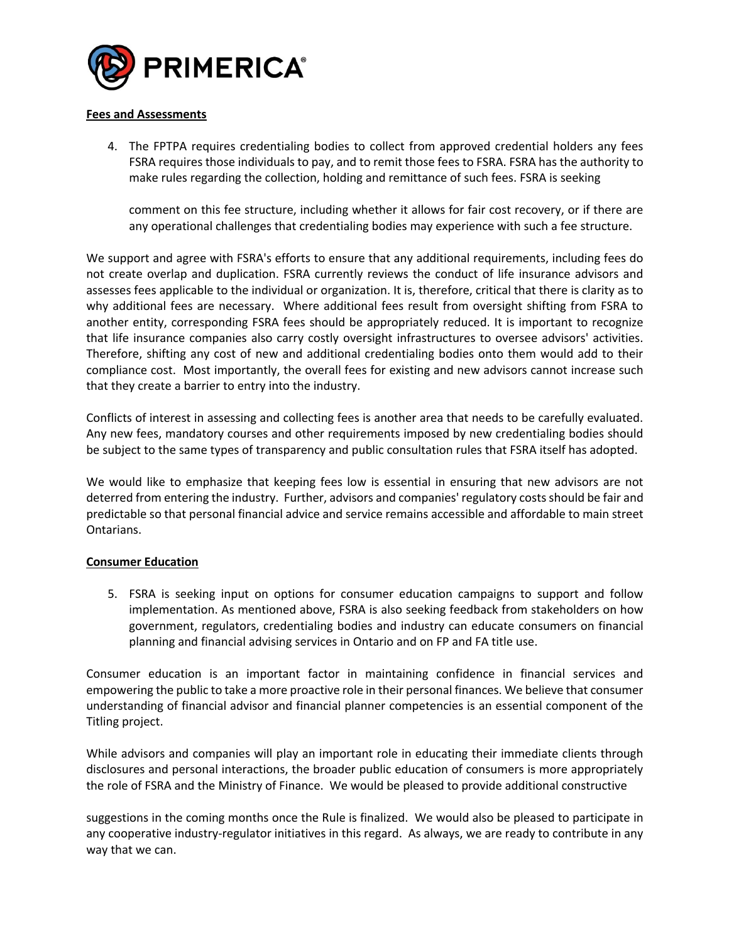

#### **Fees and Assessments**

4. The FPTPA requires credentialing bodies to collect from approved credential holders any fees FSRA requires those individuals to pay, and to remit those fees to FSRA. FSRA has the authority to make rules regarding the collection, holding and remittance of such fees. FSRA is seeking

comment on this fee structure, including whether it allows for fair cost recovery, or if there are any operational challenges that credentialing bodies may experience with such a fee structure.

We support and agree with FSRA's efforts to ensure that any additional requirements, including fees do not create overlap and duplication. FSRA currently reviews the conduct of life insurance advisors and assesses fees applicable to the individual or organization. It is, therefore, critical that there is clarity as to why additional fees are necessary. Where additional fees result from oversight shifting from FSRA to another entity, corresponding FSRA fees should be appropriately reduced. It is important to recognize that life insurance companies also carry costly oversight infrastructures to oversee advisors' activities. Therefore, shifting any cost of new and additional credentialing bodies onto them would add to their compliance cost. Most importantly, the overall fees for existing and new advisors cannot increase such that they create a barrier to entry into the industry.

Conflicts of interest in assessing and collecting fees is another area that needs to be carefully evaluated. Any new fees, mandatory courses and other requirements imposed by new credentialing bodies should be subject to the same types of transparency and public consultation rules that FSRA itself has adopted.

We would like to emphasize that keeping fees low is essential in ensuring that new advisors are not deterred from entering the industry. Further, advisors and companies' regulatory costs should be fair and predictable so that personal financial advice and service remains accessible and affordable to main street Ontarians.

#### **Consumer Education**

5. FSRA is seeking input on options for consumer education campaigns to support and follow implementation. As mentioned above, FSRA is also seeking feedback from stakeholders on how government, regulators, credentialing bodies and industry can educate consumers on financial planning and financial advising services in Ontario and on FP and FA title use.

Consumer education is an important factor in maintaining confidence in financial services and empowering the public to take a more proactive role in their personal finances. We believe that consumer understanding of financial advisor and financial planner competencies is an essential component of the Titling project.

While advisors and companies will play an important role in educating their immediate clients through disclosures and personal interactions, the broader public education of consumers is more appropriately the role of FSRA and the Ministry of Finance. We would be pleased to provide additional constructive

suggestions in the coming months once the Rule is finalized. We would also be pleased to participate in any cooperative industry-regulator initiatives in this regard. As always, we are ready to contribute in any way that we can.